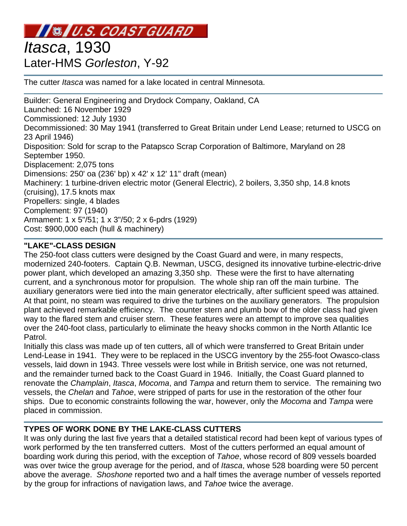# **INSIU.S. COAST GUARD**

# *Itasca*, 1930 Later-HMS *Gorleston*, Y-92

The cutter *Itasca* was named for a lake located in central Minnesota.

Builder: General Engineering and Drydock Company, Oakland, CA Launched: 16 November 1929 Commissioned: 12 July 1930 Decommissioned: 30 May 1941 (transferred to Great Britain under Lend Lease; returned to USCG on 23 April 1946) Disposition: Sold for scrap to the Patapsco Scrap Corporation of Baltimore, Maryland on 28 September 1950. Displacement: 2,075 tons Dimensions: 250' oa (236' bp) x 42' x 12' 11" draft (mean) Machinery: 1 turbine-driven electric motor (General Electric), 2 boilers, 3,350 shp, 14.8 knots (cruising), 17.5 knots max Propellers: single, 4 blades Complement: 97 (1940) Armament: 1 x 5"/51; 1 x 3"/50; 2 x 6-pdrs (1929) Cost: \$900,000 each (hull & machinery)

# **"LAKE"-CLASS DESIGN**

The 250-foot class cutters were designed by the Coast Guard and were, in many respects, modernized 240-footers. Captain Q.B. Newman, USCG, designed its innovative turbine-electric-drive power plant, which developed an amazing 3,350 shp. These were the first to have alternating current, and a synchronous motor for propulsion. The whole ship ran off the main turbine. The auxiliary generators were tied into the main generator electrically, after sufficient speed was attained. At that point, no steam was required to drive the turbines on the auxiliary generators. The propulsion plant achieved remarkable efficiency. The counter stern and plumb bow of the older class had given way to the flared stem and cruiser stern. These features were an attempt to improve sea qualities over the 240-foot class, particularly to eliminate the heavy shocks common in the North Atlantic Ice Patrol.

Initially this class was made up of ten cutters, all of which were transferred to Great Britain under Lend-Lease in 1941. They were to be replaced in the USCG inventory by the 255-foot Owasco-class vessels, laid down in 1943. Three vessels were lost while in British service, one was not returned, and the remainder turned back to the Coast Guard in 1946. Initially, the Coast Guard planned to renovate the *Champlain*, *Itasca*, *Mocoma*, and *Tampa* and return them to service. The remaining two vessels, the *Chelan* and *Tahoe*, were stripped of parts for use in the restoration of the other four ships. Due to economic constraints following the war, however, only the *Mocoma* and *Tampa* were placed in commission.

# **TYPES OF WORK DONE BY THE LAKE-CLASS CUTTERS**

It was only during the last five years that a detailed statistical record had been kept of various types of work performed by the ten transferred cutters. Most of the cutters performed an equal amount of boarding work during this period, with the exception of *Tahoe*, whose record of 809 vessels boarded was over twice the group average for the period, and of *Itasca*, whose 528 boarding were 50 percent above the average. *Shoshone* reported two and a half times the average number of vessels reported by the group for infractions of navigation laws, and *Tahoe* twice the average.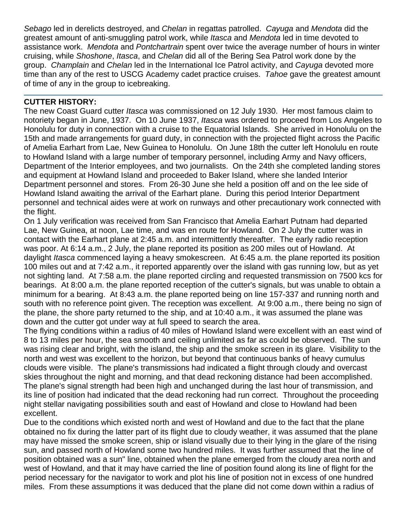*Sebago* led in derelicts destroyed, and *Chelan* in regattas patrolled. *Cayuga* and *Mendota* did the greatest amount of anti-smuggling patrol work, while *Itasca* and *Mendota* led in time devoted to assistance work. *Mendota* and *Pontchartrain* spent over twice the average number of hours in winter cruising, while *Shoshone*, *Itasca*, and *Chelan* did all of the Bering Sea Patrol work done by the group. *Champlain* and *Chelan* led in the International Ice Patrol activity, and *Cayuga* devoted more time than any of the rest to USCG Academy cadet practice cruises. *Tahoe* gave the greatest amount of time of any in the group to icebreaking.

### **CUTTER HISTORY:**

The new Coast Guard cutter *Itasca* was commissioned on 12 July 1930. Her most famous claim to notoriety began in June, 1937. On 10 June 1937, *Itasca* was ordered to proceed from Los Angeles to Honolulu for duty in connection with a cruise to the Equatorial Islands. She arrived in Honolulu on the 15th and made arrangements for guard duty, in connection with the projected flight across the Pacific of Amelia Earhart from Lae, New Guinea to Honolulu. On June 18th the cutter left Honolulu en route to Howland Island with a large number of temporary personnel, including Army and Navy officers, Department of the Interior employees, and two journalists. On the 24th she completed landing stores and equipment at Howland Island and proceeded to Baker Island, where she landed Interior Department personnel and stores. From 26-30 June she held a position off and on the lee side of Howland Island awaiting the arrival of the Earhart plane. During this period Interior Department personnel and technical aides were at work on runways and other precautionary work connected with the flight.

On 1 July verification was received from San Francisco that Amelia Earhart Putnam had departed Lae, New Guinea, at noon, Lae time, and was en route for Howland. On 2 July the cutter was in contact with the Earhart plane at 2:45 a.m. and intermittently thereafter. The early radio reception was poor. At 6:14 a.m., 2 July, the plane reported its position as 200 miles out of Howland. At daylight *Itasca* commenced laying a heavy smokescreen. At 6:45 a.m. the plane reported its position 100 miles out and at 7:42 a.m., it reported apparently over the island with gas running low, but as yet not sighting land. At 7:58 a.m. the plane reported circling and requested transmission on 7500 kcs for bearings. At 8:00 a.m. the plane reported reception of the cutter's signals, but was unable to obtain a minimum for a bearing. At 8:43 a.m. the plane reported being on line 157-337 and running north and south with no reference point given. The reception was excellent. At 9:00 a.m., there being no sign of the plane, the shore party returned to the ship, and at 10:40 a.m., it was assumed the plane was down and the cutter got under way at full speed to search the area.

The flying conditions within a radius of 40 miles of Howland Island were excellent with an east wind of 8 to 13 miles per hour, the sea smooth and ceiling unlimited as far as could be observed. The sun was rising clear and bright, with the island, the ship and the smoke screen in its glare. Visibility to the north and west was excellent to the horizon, but beyond that continuous banks of heavy cumulus clouds were visible. The plane's transmissions had indicated a flight through cloudy and overcast skies throughout the night and morning, and that dead reckoning distance had been accomplished. The plane's signal strength had been high and unchanged during the last hour of transmission, and its line of position had indicated that the dead reckoning had run correct. Throughout the proceeding night stellar navigating possibilities south and east of Howland and close to Howland had been excellent.

Due to the conditions which existed north and west of Howland and due to the fact that the plane obtained no fix during the latter part of its flight due to cloudy weather, it was assumed that the plane may have missed the smoke screen, ship or island visually due to their lying in the glare of the rising sun, and passed north of Howland some two hundred miles. It was further assumed that the line of position obtained was a sun" line, obtained when the plane emerged from the cloudy area north and west of Howland, and that it may have carried the line of position found along its line of flight for the period necessary for the navigator to work and plot his line of position not in excess of one hundred miles. From these assumptions it was deduced that the plane did not come down within a radius of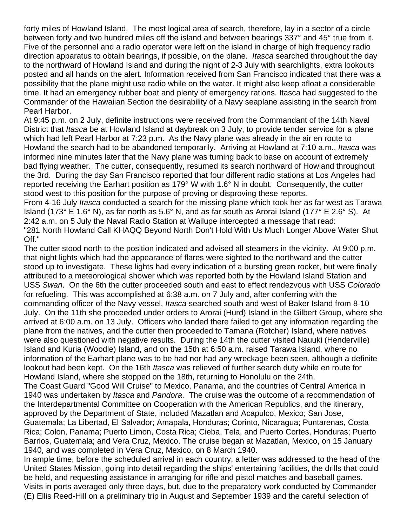forty miles of Howland Island. The most logical area of search, therefore, lay in a sector of a circle between forty and two hundred miles off the island and between bearings 337° and 45° true from it. Five of the personnel and a radio operator were left on the island in charge of high frequency radio direction apparatus to obtain bearings, if possible, on the plane. *Itasca* searched throughout the day to the northward of Howland Island and during the night of 2-3 July with searchlights, extra lookouts posted and all hands on the alert. Information received from San Francisco indicated that there was a possibility that the plane might use radio while on the water. It might also keep afloat a considerable time. It had an emergency rubber boat and plenty of emergency rations. Itasca had suggested to the Commander of the Hawaiian Section the desirability of a Navy seaplane assisting in the search from Pearl Harbor.

At 9:45 p.m. on 2 July, definite instructions were received from the Commandant of the 14th Naval District that *Itasca* be at Howland Island at daybreak on 3 July, to provide tender service for a plane which had left Pearl Harbor at 7:23 p.m. As the Navy plane was already in the air en route to Howland the search had to be abandoned temporarily. Arriving at Howland at 7:10 a.m., *Itasca* was informed nine minutes later that the Navy plane was turning back to base on account of extremely bad flying weather. The cutter, consequently, resumed its search northward of Howland throughout the 3rd. During the day San Francisco reported that four different radio stations at Los Angeles had reported receiving the Earhart position as 179° W with 1.6° N in doubt. Consequently, the cutter stood west to this position for the purpose of proving or disproving these reports.

From 4-16 July *Itasca* conducted a search for the missing plane which took her as far west as Tarawa Island (173° E 1.6° N), as far north as 5.6° N, and as far south as Arorai Island (177° E 2.6° S). At 2:42 a.m. on 5 July the Naval Radio Station at Wailupe intercepted a message that read: "281 North Howland Call KHAQQ Beyond North Don't Hold With Us Much Longer Above Water Shut Off."

The cutter stood north to the position indicated and advised all steamers in the vicinity. At 9:00 p.m. that night lights which had the appearance of flares were sighted to the northward and the cutter stood up to investigate. These lights had every indication of a bursting green rocket, but were finally attributed to a meteorological shower which was reported both by the Howland Island Station and USS *Swan*. On the 6th the cutter proceeded south and east to effect rendezvous with USS *Colorado* for refueling. This was accomplished at 6:38 a.m. on 7 July and, after conferring with the commanding officer of the Navy vessel, *Itasca* searched south and west of Baker Island from 8-10 July. On the 11th she proceeded under orders to Arorai (Hurd) Island in the Gilbert Group, where she arrived at 6:00 a.m. on 13 July. Officers who landed there failed to get any information regarding the plane from the natives, and the cutter then proceeded to Tamana (Rotcher) Island, where natives were also questioned with negative results. During the 14th the cutter visited Nauuki (Henderville) Island and Kuria (Woodle) Island, and on the 15th at 6:50 a.m. raised Tarawa Island, where no information of the Earhart plane was to be had nor had any wreckage been seen, although a definite lookout had been kept. On the 16th *Itasca* was relieved of further search duty while en route for Howland Island, where she stopped on the 18th, returning to Honolulu on the 24th.

The Coast Guard "Good Will Cruise" to Mexico, Panama, and the countries of Central America in 1940 was undertaken by *Itasca* and *Pandora*. The cruise was the outcome of a recommendation of the Interdepartmental Committee on Cooperation with the American Republics, and the itinerary, approved by the Department of State, included Mazatlan and Acapulco, Mexico; San Jose, Guatemala; La Libertad, El Salvador; Amapala, Honduras; Corinto, Nicaragua; Puntarenas, Costa Rica; Colon, Panama; Puerto Limon, Costa Rica; Cieba, Tela, and Puerto Cortes, Honduras; Puerto Barrios, Guatemala; and Vera Cruz, Mexico. The cruise began at Mazatlan, Mexico, on 15 January 1940, and was completed in Vera Cruz, Mexico, on 8 March 1940.

In ample time, before the scheduled arrival in each country, a letter was addressed to the head of the United States Mission, going into detail regarding the ships' entertaining facilities, the drills that could be held, and requesting assistance in arranging for rifle and pistol matches and baseball games. Visits in ports averaged only three days, but, due to the preparatory work conducted by Commander (E) Ellis Reed-Hill on a preliminary trip in August and September 1939 and the careful selection of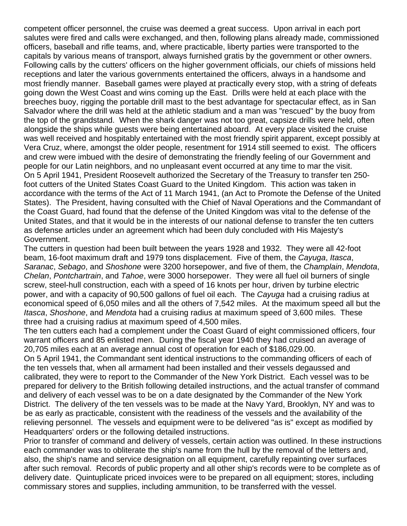competent officer personnel, the cruise was deemed a great success. Upon arrival in each port salutes were fired and calls were exchanged, and then, following plans already made, commissioned officers, baseball and rifle teams, and, where practicable, liberty parties were transported to the capitals by various means of transport, always furnished gratis by the government or other owners. Following calls by the cutters' officers on the higher government officials, our chiefs of missions held receptions and later the various governments entertained the officers, always in a handsome and most friendly manner. Baseball games were played at practically every stop, with a string of defeats going down the West Coast and wins coming up the East. Drills were held at each place with the breeches buoy, rigging the portable drill mast to the best advantage for spectacular effect, as in San Salvador where the drill was held at the athletic stadium and a man was "rescued" by the buoy from the top of the grandstand. When the shark danger was not too great, capsize drills were held, often alongside the ships while guests were being entertained aboard. At every place visited the cruise was well received and hospitably entertained with the most friendly spirit apparent, except possibly at Vera Cruz, where, amongst the older people, resentment for 1914 still seemed to exist. The officers and crew were imbued with the desire of demonstrating the friendly feeling of our Government and people for our Latin neighbors, and no unpleasant event occurred at any time to mar the visit. On 5 April 1941, President Roosevelt authorized the Secretary of the Treasury to transfer ten 250 foot cutters of the United States Coast Guard to the United Kingdom. This action was taken in accordance with the terms of the Act of 11 March 1941, (an Act to Promote the Defense of the United States). The President, having consulted with the Chief of Naval Operations and the Commandant of the Coast Guard, had found that the defense of the United Kingdom was vital to the defense of the United States, and that it would be in the interests of our national defense to transfer the ten cutters as defense articles under an agreement which had been duly concluded with His Majesty's Government.

The cutters in question had been built between the years 1928 and 1932. They were all 42-foot beam, 16-foot maximum draft and 1979 tons displacement. Five of them, the *Cayuga*, *Itasca*, *Saranac*, *Sebago*, and *Shoshone* were 3200 horsepower, and five of them, the *Champlain*, *Mendota*, *Chelan*, *Pontchartrain*, and *Tahoe*, were 3000 horsepower. They were all fuel oil burners of single screw, steel-hull construction, each with a speed of 16 knots per hour, driven by turbine electric power, and with a capacity of 90,500 gallons of fuel oil each. The *Cayuga* had a cruising radius at economical speed of 6,050 miles and all the others of 7,542 miles. At the maximum speed all but the *Itasca*, *Shoshone*, and *Mendota* had a cruising radius at maximum speed of 3,600 miles. These three had a cruising radius at maximum speed of 4,500 miles.

The ten cutters each had a complement under the Coast Guard of eight commissioned officers, four warrant officers and 85 enlisted men. During the fiscal year 1940 they had cruised an average of 20,705 miles each at an average annual cost of operation for each of \$186,029.00.

On 5 April 1941, the Commandant sent identical instructions to the commanding officers of each of the ten vessels that, when all armament had been installed and their vessels degaussed and calibrated, they were to report to the Commander of the New York District. Each vessel was to be prepared for delivery to the British following detailed instructions, and the actual transfer of command and delivery of each vessel was to be on a date designated by the Commander of the New York District. The delivery of the ten vessels was to be made at the Navy Yard, Brooklyn, NY and was to be as early as practicable, consistent with the readiness of the vessels and the availability of the relieving personnel. The vessels and equipment were to be delivered "as is" except as modified by Headquarters' orders or the following detailed instructions.

Prior to transfer of command and delivery of vessels, certain action was outlined. In these instructions each commander was to obliterate the ship's name from the hull by the removal of the letters and, also, the ship's name and service designation on all equipment, carefully repainting over surfaces after such removal. Records of public property and all other ship's records were to be complete as of delivery date. Quintuplicate priced invoices were to be prepared on all equipment; stores, including commissary stores and supplies, including ammunition, to be transferred with the vessel.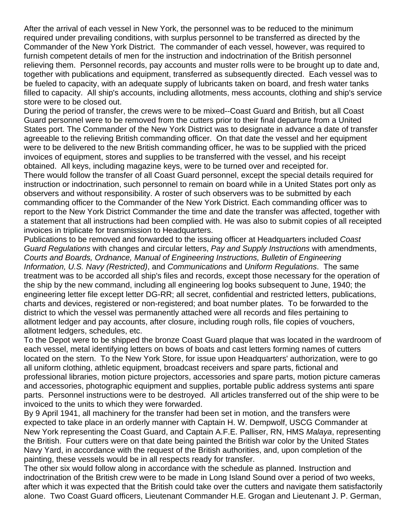After the arrival of each vessel in New York, the personnel was to be reduced to the minimum required under prevailing conditions, with surplus personnel to be transferred as directed by the Commander of the New York District. The commander of each vessel, however, was required to furnish competent details of men for the instruction and indoctrination of the British personnel relieving them. Personnel records, pay accounts and muster rolls were to be brought up to date and, together with publications and equipment, transferred as subsequently directed. Each vessel was to be fueled to capacity, with an adequate supply of lubricants taken on board, and fresh water tanks filled to capacity. All ship's accounts, including allotments, mess accounts, clothing and ship's service store were to be closed out.

During the period of transfer, the crews were to be mixed--Coast Guard and British, but all Coast Guard personnel were to be removed from the cutters prior to their final departure from a United States port. The Commander of the New York District was to designate in advance a date of transfer agreeable to the relieving British commanding officer. On that date the vessel and her equipment were to be delivered to the new British commanding officer, he was to be supplied with the priced invoices of equipment, stores and supplies to be transferred with the vessel, and his receipt obtained. All keys, including magazine keys, were to be turned over and receipted for.

There would follow the transfer of all Coast Guard personnel, except the special details required for instruction or indoctrination, such personnel to remain on board while in a United States port only as observers and without responsibility. A roster of such observers was to be submitted by each commanding officer to the Commander of the New York District. Each commanding officer was to report to the New York District Commander the time and date the transfer was affected, together with a statement that all instructions had been complied with. He was also to submit copies of all receipted invoices in triplicate for transmission to Headquarters.

Publications to be removed and forwarded to the issuing officer at Headquarters included *Coast Guard Regulations* with changes and circular letters, *Pay and Supply Instructions* with amendments, *Courts and Boards, Ordnance, Manual of Engineering Instructions, Bulletin of Engineering Information, U.S. Navy (Restricted)*, and *Communications* and *Uniform Regulations*. The same treatment was to be accorded all ship's files and records, except those necessary for the operation of the ship by the new command, including all engineering log books subsequent to June, 1940; the engineering letter file except letter DG-RR; all secret, confidential and restricted letters, publications, charts and devices, registered or non-registered; and boat number plates. To be forwarded to the district to which the vessel was permanently attached were all records and files pertaining to allotment ledger and pay accounts, after closure, including rough rolls, file copies of vouchers, allotment ledgers, schedules, etc.

To the Depot were to be shipped the bronze Coast Guard plaque that was located in the wardroom of each vessel, metal identifying letters on bows of boats and cast letters forming names of cutters located on the stern. To the New York Store, for issue upon Headquarters' authorization, were to go all uniform clothing, athletic equipment, broadcast receivers and spare parts, fictional and professional libraries, motion picture projectors, accessories and spare parts, motion picture cameras and accessories, photographic equipment and supplies, portable public address systems anti spare parts. Personnel instructions were to be destroyed. All articles transferred out of the ship were to be invoiced to the units to which they were forwarded.

By 9 April 1941, all machinery for the transfer had been set in motion, and the transfers were expected to take place in an orderly manner with Captain H. W. Dempwolf, USCG Commander at New York representing the Coast Guard, and Captain A.F.E. Palliser, RN, HMS *Malaya*, representing the British. Four cutters were on that date being painted the British war color by the United States Navy Yard, in accordance with the request of the British authorities, and, upon completion of the painting, these vessels would be in all respects ready for transfer.

The other six would follow along in accordance with the schedule as planned. Instruction and indoctrination of the British crew were to be made in Long Island Sound over a period of two weeks, after which it was expected that the British could take over the cutters and navigate them satisfactorily alone. Two Coast Guard officers, Lieutenant Commander H.E. Grogan and Lieutenant J. P. German,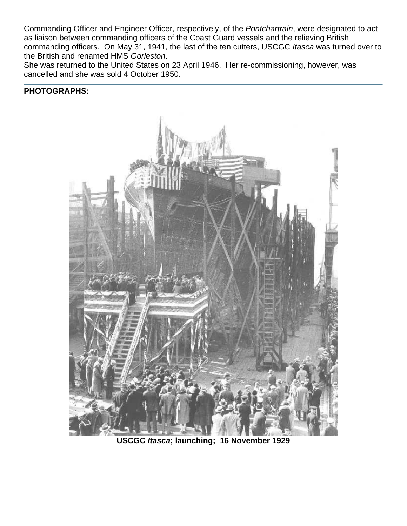Commanding Officer and Engineer Officer, respectively, of the *Pontchartrain*, were designated to act as liaison between commanding officers of the Coast Guard vessels and the relieving British commanding officers. On May 31, 1941, the last of the ten cutters, USCGC *Itasca* was turned over to the British and renamed HMS *Gorleston*.

She was returned to the United States on 23 April 1946. Her re-commissioning, however, was cancelled and she was sold 4 October 1950.

#### **PHOTOGRAPHS:**



**USCGC** *Itasca***; launching; 16 November 1929**